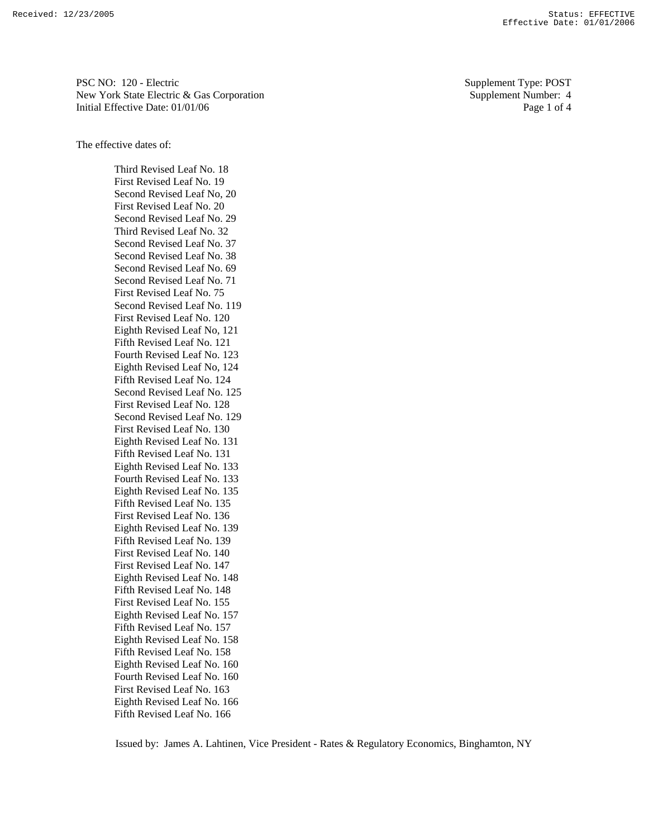PSC NO: 120 - Electric Supplement Type: POST New York State Electric & Gas Corporation Supplement Number: 4 Initial Effective Date: 01/01/06 Page 1 of 4

The effective dates of:

 Third Revised Leaf No. 18 First Revised Leaf No. 19 Second Revised Leaf No, 20 First Revised Leaf No. 20 Second Revised Leaf No. 29 Third Revised Leaf No. 32 Second Revised Leaf No. 37 Second Revised Leaf No. 38 Second Revised Leaf No. 69 Second Revised Leaf No. 71 First Revised Leaf No. 75 Second Revised Leaf No. 119 First Revised Leaf No. 120 Eighth Revised Leaf No, 121 Fifth Revised Leaf No. 121 Fourth Revised Leaf No. 123 Eighth Revised Leaf No, 124 Fifth Revised Leaf No. 124 Second Revised Leaf No. 125 First Revised Leaf No. 128 Second Revised Leaf No. 129 First Revised Leaf No. 130 Eighth Revised Leaf No. 131 Fifth Revised Leaf No. 131 Eighth Revised Leaf No. 133 Fourth Revised Leaf No. 133 Eighth Revised Leaf No. 135 Fifth Revised Leaf No. 135 First Revised Leaf No. 136 Eighth Revised Leaf No. 139 Fifth Revised Leaf No. 139 First Revised Leaf No. 140 First Revised Leaf No. 147 Eighth Revised Leaf No. 148 Fifth Revised Leaf No. 148 First Revised Leaf No. 155 Eighth Revised Leaf No. 157 Fifth Revised Leaf No. 157 Eighth Revised Leaf No. 158 Fifth Revised Leaf No. 158 Eighth Revised Leaf No. 160 Fourth Revised Leaf No. 160 First Revised Leaf No. 163 Eighth Revised Leaf No. 166 Fifth Revised Leaf No. 166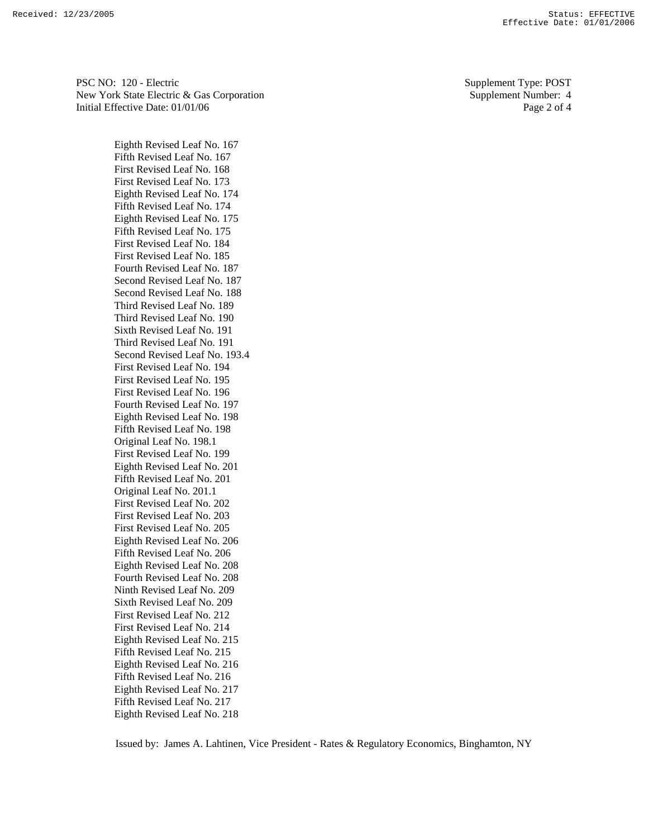PSC NO: 120 - Electric Supplement Type: POST New York State Electric & Gas Corporation Supplement Number: 4 Initial Effective Date: 01/01/06 Page 2 of 4

 Eighth Revised Leaf No. 167 Fifth Revised Leaf No. 167 First Revised Leaf No. 168 First Revised Leaf No. 173 Eighth Revised Leaf No. 174 Fifth Revised Leaf No. 174 Eighth Revised Leaf No. 175 Fifth Revised Leaf No. 175 First Revised Leaf No. 184 First Revised Leaf No. 185 Fourth Revised Leaf No. 187 Second Revised Leaf No. 187 Second Revised Leaf No. 188 Third Revised Leaf No. 189 Third Revised Leaf No. 190 Sixth Revised Leaf No. 191 Third Revised Leaf No. 191 Second Revised Leaf No. 193.4 First Revised Leaf No. 194 First Revised Leaf No. 195 First Revised Leaf No. 196 Fourth Revised Leaf No. 197 Eighth Revised Leaf No. 198 Fifth Revised Leaf No. 198 Original Leaf No. 198.1 First Revised Leaf No. 199 Eighth Revised Leaf No. 201 Fifth Revised Leaf No. 201 Original Leaf No. 201.1 First Revised Leaf No. 202 First Revised Leaf No. 203 First Revised Leaf No. 205 Eighth Revised Leaf No. 206 Fifth Revised Leaf No. 206 Eighth Revised Leaf No. 208 Fourth Revised Leaf No. 208 Ninth Revised Leaf No. 209 Sixth Revised Leaf No. 209 First Revised Leaf No. 212 First Revised Leaf No. 214 Eighth Revised Leaf No. 215 Fifth Revised Leaf No. 215 Eighth Revised Leaf No. 216 Fifth Revised Leaf No. 216 Eighth Revised Leaf No. 217 Fifth Revised Leaf No. 217 Eighth Revised Leaf No. 218

Issued by: James A. Lahtinen, Vice President - Rates & Regulatory Economics, Binghamton, NY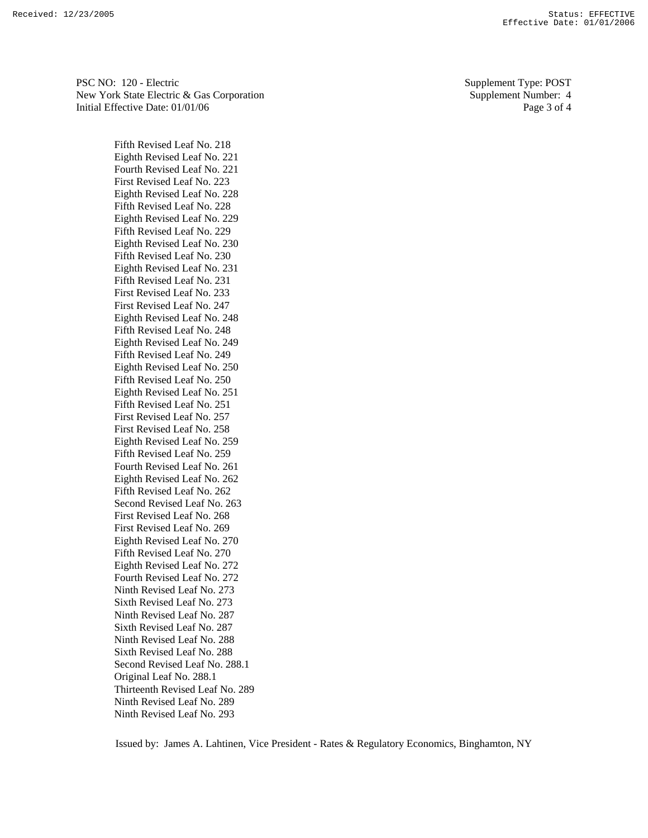PSC NO: 120 - Electric Supplement Type: POST New York State Electric & Gas Corporation Supplement Number: 4 Initial Effective Date: 01/01/06 Page 3 of 4

 Fifth Revised Leaf No. 218 Eighth Revised Leaf No. 221 Fourth Revised Leaf No. 221 First Revised Leaf No. 223 Eighth Revised Leaf No. 228 Fifth Revised Leaf No. 228 Eighth Revised Leaf No. 229 Fifth Revised Leaf No. 229 Eighth Revised Leaf No. 230 Fifth Revised Leaf No. 230 Eighth Revised Leaf No. 231 Fifth Revised Leaf No. 231 First Revised Leaf No. 233 First Revised Leaf No. 247 Eighth Revised Leaf No. 248 Fifth Revised Leaf No. 248 Eighth Revised Leaf No. 249 Fifth Revised Leaf No. 249 Eighth Revised Leaf No. 250 Fifth Revised Leaf No. 250 Eighth Revised Leaf No. 251 Fifth Revised Leaf No. 251 First Revised Leaf No. 257 First Revised Leaf No. 258 Eighth Revised Leaf No. 259 Fifth Revised Leaf No. 259 Fourth Revised Leaf No. 261 Eighth Revised Leaf No. 262 Fifth Revised Leaf No. 262 Second Revised Leaf No. 263 First Revised Leaf No. 268 First Revised Leaf No. 269 Eighth Revised Leaf No. 270 Fifth Revised Leaf No. 270 Eighth Revised Leaf No. 272 Fourth Revised Leaf No. 272 Ninth Revised Leaf No. 273 Sixth Revised Leaf No. 273 Ninth Revised Leaf No. 287 Sixth Revised Leaf No. 287 Ninth Revised Leaf No. 288 Sixth Revised Leaf No. 288 Second Revised Leaf No. 288.1 Original Leaf No. 288.1 Thirteenth Revised Leaf No. 289 Ninth Revised Leaf No. 289 Ninth Revised Leaf No. 293

Issued by: James A. Lahtinen, Vice President - Rates & Regulatory Economics, Binghamton, NY